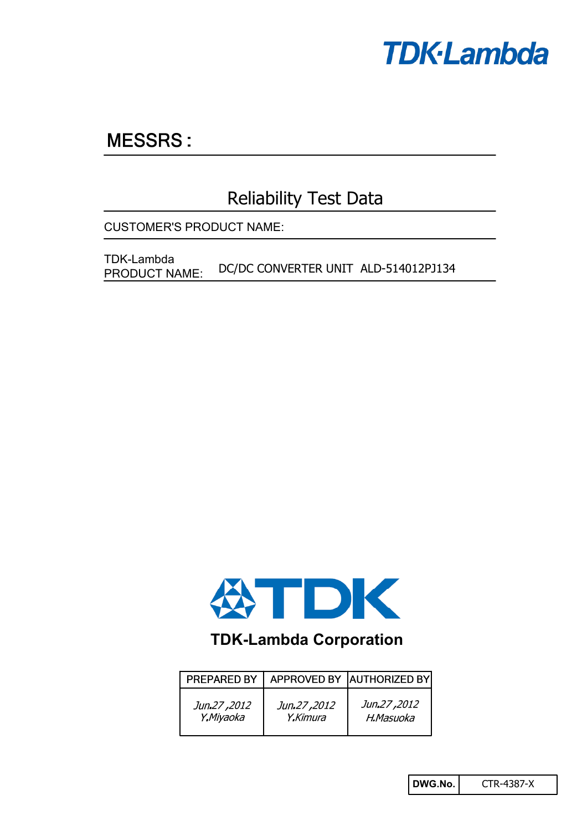

## **MESSRS:**

## Reliability Test Data

CUSTOMER'S PRODUCT NAME:

DC/DC CONVERTER UNIT ALD-514012PJ134 TDK-Lambda PRODUCT NAME:



## **TDK-Lambda Corporation**

| PREPARED BY |             | APPROVED BY AUTHORIZED BY |
|-------------|-------------|---------------------------|
| Jun.27,2012 | Jun.27,2012 | Jun.27,2012               |
| Y.Miyaoka   | Y.Kimura    | H.Masuoka                 |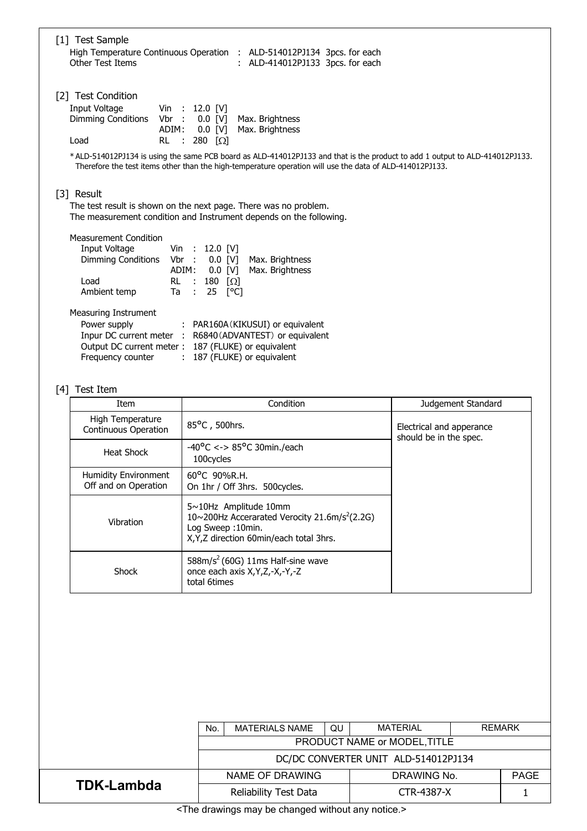| [1] Test Sample<br><b>Other Test Items</b>                                                                                          | High Temperature Continuous Operation : ALD-514012PJ134 3pcs. for each<br>: ALD-414012PJ133 3pcs. for each                                                                                                                                                                                                                                                            |                          |
|-------------------------------------------------------------------------------------------------------------------------------------|-----------------------------------------------------------------------------------------------------------------------------------------------------------------------------------------------------------------------------------------------------------------------------------------------------------------------------------------------------------------------|--------------------------|
| [2] Test Condition<br>Input Voltage<br><b>Dimming Conditions</b><br>Vbr :<br>ADIM:<br><b>RL</b><br>Load                             | Vin : 12.0 [V]<br>$0.0$ [V]<br>Max. Brightness<br>$0.0$ [V]<br>Max. Brightness<br>$\sim$ 1.<br>280 $\lceil \Omega \rceil$<br>* ALD-514012PJ134 is using the same PCB board as ALD-414012PJ133 and that is the product to add 1 output to ALD-414012PJ133.<br>Therefore the test items other than the high-temperature operation will use the data of ALD-414012PJ133. |                          |
| [3] Result                                                                                                                          | The test result is shown on the next page. There was no problem.<br>The measurement condition and Instrument depends on the following.                                                                                                                                                                                                                                |                          |
| <b>Measurement Condition</b><br>Input Voltage<br>Vin<br><b>Dimming Conditions</b><br>Vbr<br><b>RL</b><br>Load<br>Ambient temp<br>Ta | 12.0 [V]<br>$\sim$ 100<br>$\sim 10$<br>$0.0$ [V]<br>Max. Brightness<br>ADIM:<br>Max. Brightness<br>$0.0$ [V]<br>$\sim$ 10<br>180 $\Omega$<br>25 [°C]<br>$\mathbb{R}^2$                                                                                                                                                                                                |                          |
| Measuring Instrument<br>Power supply<br>Frequency counter                                                                           | : PAR160A (KIKUSUI) or equivalent<br>Inpur DC current meter : R6840 (ADVANTEST) or equivalent<br>Output DC current meter: 187 (FLUKE) or equivalent<br>: 187 (FLUKE) or equivalent                                                                                                                                                                                    |                          |
| [4] Test Item<br>Item                                                                                                               | Condition                                                                                                                                                                                                                                                                                                                                                             | Judgement Standard       |
| High Temperature                                                                                                                    | 85°C, 500hrs.                                                                                                                                                                                                                                                                                                                                                         |                          |
| Continuous Operation                                                                                                                |                                                                                                                                                                                                                                                                                                                                                                       | Electrical and apperance |

| Thyll Temperature<br>Continuous Operation    | 85°C, 500hrs.                                                                                                                                                 | Electrical and apperance<br>should be in the spec. |  |
|----------------------------------------------|---------------------------------------------------------------------------------------------------------------------------------------------------------------|----------------------------------------------------|--|
| Heat Shock                                   | $-40^{\circ}$ C <-> 85°C 30min./each<br>100 cv cles                                                                                                           |                                                    |  |
| Humidity Environment<br>Off and on Operation | $60^{\circ}$ C 90%R.H.<br>On 1hr / Off 3hrs. 500 cycles.                                                                                                      |                                                    |  |
| Vibration                                    | $5 \sim 10$ Hz Amplitude 10mm<br>10~200Hz Accerarated Verocity 21.6m/s <sup>2</sup> (2.2G)<br>Log Sweep: 10min.<br>X, Y, Z direction 60 min/each total 3 hrs. |                                                    |  |
| Shock                                        | $588m/s2$ (60G) 11ms Half-sine wave<br>once each axis X, Y, Z, -X, -Y, -Z<br>total 6times                                                                     |                                                    |  |

|                   | No.                                                                                                                 | <b>MATERIALS NAME</b> | QU          | <b>MATERIAL</b> | <b>REMARK</b> |  |  |
|-------------------|---------------------------------------------------------------------------------------------------------------------|-----------------------|-------------|-----------------|---------------|--|--|
|                   | PRODUCT NAME or MODEL, TITLE                                                                                        |                       |             |                 |               |  |  |
|                   | DC/DC CONVERTER UNIT ALD-514012PJ134                                                                                |                       |             |                 |               |  |  |
|                   |                                                                                                                     | NAME OF DRAWING       | DRAWING No. |                 | <b>PAGE</b>   |  |  |
| <b>TDK-Lambda</b> | Reliability Test Data                                                                                               |                       | CTR-4387-X  |                 |               |  |  |
| $-1$              | $\mathbf{r}$ , and $\mathbf{r}$ , and $\mathbf{r}$ , and $\mathbf{r}$<br>the state of the state of the state of the |                       |             |                 |               |  |  |

<The drawings may be changed without any notice.>